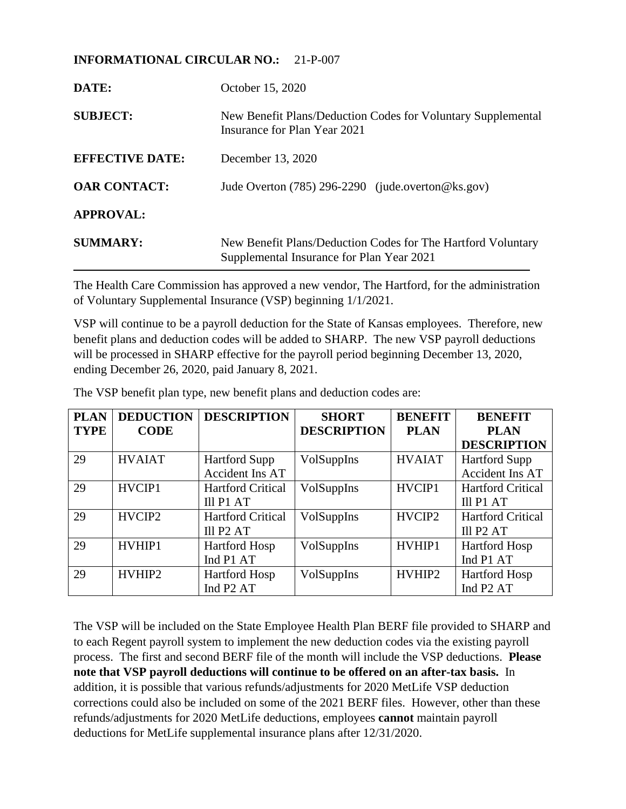## **INFORMATIONAL CIRCULAR NO.:** 21-P-007

| DATE:                  | October 15, 2020                                                                                          |  |  |  |
|------------------------|-----------------------------------------------------------------------------------------------------------|--|--|--|
| <b>SUBJECT:</b>        | New Benefit Plans/Deduction Codes for Voluntary Supplemental<br>Insurance for Plan Year 2021              |  |  |  |
| <b>EFFECTIVE DATE:</b> | December 13, 2020                                                                                         |  |  |  |
| <b>OAR CONTACT:</b>    | Jude Overton (785) 296-2290 (jude.overton@ks.gov)                                                         |  |  |  |
| <b>APPROVAL:</b>       |                                                                                                           |  |  |  |
| <b>SUMMARY:</b>        | New Benefit Plans/Deduction Codes for The Hartford Voluntary<br>Supplemental Insurance for Plan Year 2021 |  |  |  |

The Health Care Commission has approved a new vendor, The Hartford, for the administration of Voluntary Supplemental Insurance (VSP) beginning 1/1/2021.

VSP will continue to be a payroll deduction for the State of Kansas employees. Therefore, new benefit plans and deduction codes will be added to SHARP. The new VSP payroll deductions will be processed in SHARP effective for the payroll period beginning December 13, 2020, ending December 26, 2020, paid January 8, 2021.

| <b>PLAN</b> | <b>DEDUCTION</b> | <b>DESCRIPTION</b>       | <b>SHORT</b>       | <b>BENEFIT</b> | <b>BENEFIT</b>           |
|-------------|------------------|--------------------------|--------------------|----------------|--------------------------|
| <b>TYPE</b> | <b>CODE</b>      |                          | <b>DESCRIPTION</b> | <b>PLAN</b>    | <b>PLAN</b>              |
|             |                  |                          |                    |                | <b>DESCRIPTION</b>       |
| 29          | <b>HVAIAT</b>    | <b>Hartford Supp</b>     | VolSuppIns         | <b>HVAIAT</b>  | <b>Hartford Supp</b>     |
|             |                  | Accident Ins AT          |                    |                | Accident Ins AT          |
| 29          | HVCIP1           | <b>Hartford Critical</b> | VolSuppIns         | HVCIP1         | <b>Hartford Critical</b> |
|             |                  | Ill P1 AT                |                    |                | Ill P1 AT                |
| 29          | HVCIP2           | <b>Hartford Critical</b> | VolSuppIns         | HVCIP2         | <b>Hartford Critical</b> |
|             |                  | Ill P <sub>2</sub> AT    |                    |                | Ill P <sub>2</sub> AT    |
| 29          | HVHIP1           | <b>Hartford Hosp</b>     | VolSuppIns         | HVHIP1         | Hartford Hosp            |
|             |                  | Ind P1 AT                |                    |                | Ind P1 AT                |
| 29          | HVHIP2           | <b>Hartford Hosp</b>     | VolSuppIns         | HVHIP2         | <b>Hartford Hosp</b>     |
|             |                  | Ind P <sub>2</sub> AT    |                    |                | Ind P <sub>2</sub> AT    |

The VSP benefit plan type, new benefit plans and deduction codes are:

The VSP will be included on the State Employee Health Plan BERF file provided to SHARP and to each Regent payroll system to implement the new deduction codes via the existing payroll process. The first and second BERF file of the month will include the VSP deductions. **Please note that VSP payroll deductions will continue to be offered on an after-tax basis.** In addition, it is possible that various refunds/adjustments for 2020 MetLife VSP deduction corrections could also be included on some of the 2021 BERF files. However, other than these refunds/adjustments for 2020 MetLife deductions, employees **cannot** maintain payroll deductions for MetLife supplemental insurance plans after 12/31/2020.